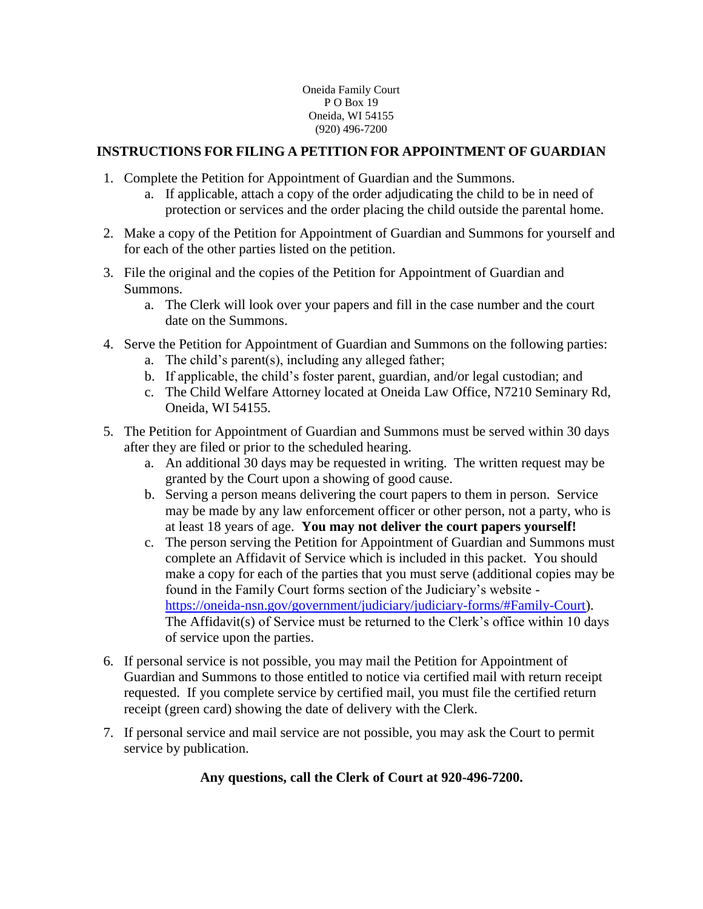# **INSTRUCTIONS FOR FILING A PETITION FOR APPOINTMENT OF GUARDIAN**

- 1. Complete the Petition for Appointment of Guardian and the Summons.
	- a. If applicable, attach a copy of the order adjudicating the child to be in need of protection or services and the order placing the child outside the parental home.
- 2. Make a copy of the Petition for Appointment of Guardian and Summons for yourself and for each of the other parties listed on the petition.
- 3. File the original and the copies of the Petition for Appointment of Guardian and Summons.
	- a. The Clerk will look over your papers and fill in the case number and the court date on the Summons.
- 4. Serve the Petition for Appointment of Guardian and Summons on the following parties:
	- a. The child's parent(s), including any alleged father;
	- b. If applicable, the child's foster parent, guardian, and/or legal custodian; and
	- c. The Child Welfare Attorney located at Oneida Law Office, N7210 Seminary Rd, Oneida, WI 54155.
- 5. The Petition for Appointment of Guardian and Summons must be served within 30 days after they are filed or prior to the scheduled hearing.
	- a. An additional 30 days may be requested in writing. The written request may be granted by the Court upon a showing of good cause.
	- b. Serving a person means delivering the court papers to them in person. Service may be made by any law enforcement officer or other person, not a party, who is at least 18 years of age. **You may not deliver the court papers yourself!**
	- c. The person serving the Petition for Appointment of Guardian and Summons must complete an Affidavit of Service which is included in this packet. You should make a copy for each of the parties that you must serve (additional copies may be found in the Family Court forms section of the Judiciary's website [https://oneida-nsn.gov/government/judiciary/judiciary-forms/#Family-Court\)](https://oneida-nsn.gov/government/judiciary/judiciary-forms/#Family-Court). The Affidavit(s) of Service must be returned to the Clerk's office within 10 days of service upon the parties.
- 6. If personal service is not possible, you may mail the Petition for Appointment of Guardian and Summons to those entitled to notice via certified mail with return receipt requested. If you complete service by certified mail, you must file the certified return receipt (green card) showing the date of delivery with the Clerk.
- 7. If personal service and mail service are not possible, you may ask the Court to permit service by publication.

# **Any questions, call the Clerk of Court at 920-496-7200.**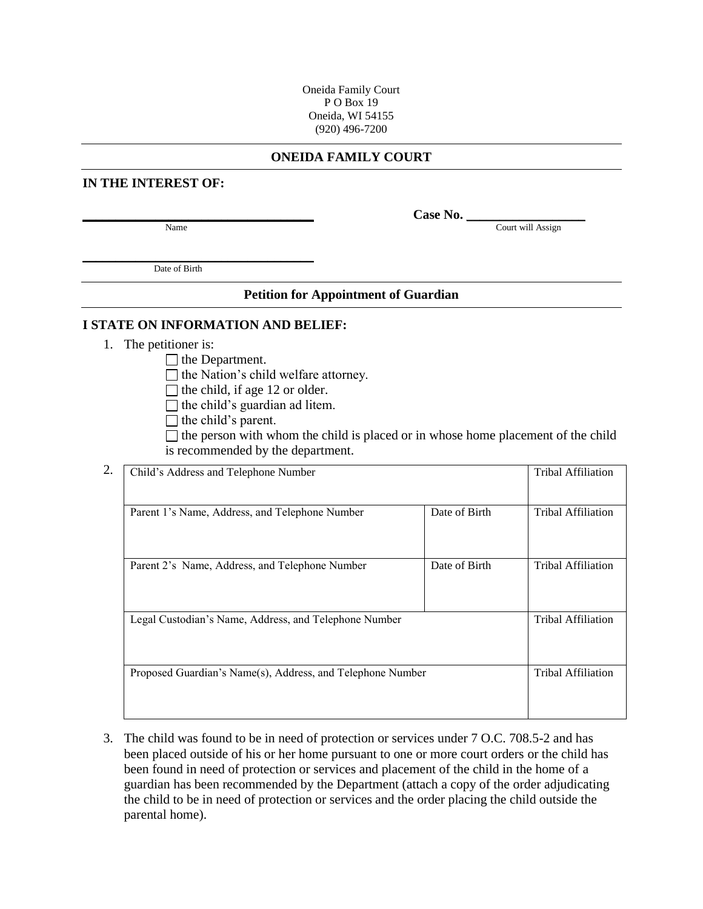#### **ONEIDA FAMILY COURT**

## **IN THE INTEREST OF:**

Name Court will Assign

**\_\_\_\_\_\_\_\_\_\_\_\_\_\_\_\_\_\_\_\_\_\_\_\_\_\_\_\_\_\_\_\_\_\_\_ Case No.** \_\_\_\_\_\_\_\_\_\_\_\_\_\_\_\_\_\_

\_\_\_\_\_\_\_\_\_\_\_\_\_\_\_\_\_\_\_\_\_\_\_\_\_\_\_\_\_\_\_\_\_\_\_ Date of Birth

### **Petition for Appointment of Guardian**

#### **I STATE ON INFORMATION AND BELIEF:**

1. The petitioner is:

 $\Box$  the Department.

 $\Box$  the Nation's child welfare attorney.

- $\Box$  the child, if age 12 or older.
- $\Box$  the child's guardian ad litem.
- $\Box$  the child's parent.

 $\Box$  the person with whom the child is placed or in whose home placement of the child is recommended by the department.

| 2. | Child's Address and Telephone Number                       |               | Tribal Affiliation        |
|----|------------------------------------------------------------|---------------|---------------------------|
|    | Parent 1's Name, Address, and Telephone Number             | Date of Birth | Tribal Affiliation        |
|    | Parent 2's Name, Address, and Telephone Number             | Date of Birth | <b>Tribal Affiliation</b> |
|    | Legal Custodian's Name, Address, and Telephone Number      |               | <b>Tribal Affiliation</b> |
|    | Proposed Guardian's Name(s), Address, and Telephone Number |               | <b>Tribal Affiliation</b> |
|    |                                                            |               |                           |

3. The child was found to be in need of protection or services under 7 O.C. 708.5-2 and has been placed outside of his or her home pursuant to one or more court orders or the child has been found in need of protection or services and placement of the child in the home of a guardian has been recommended by the Department (attach a copy of the order adjudicating the child to be in need of protection or services and the order placing the child outside the parental home).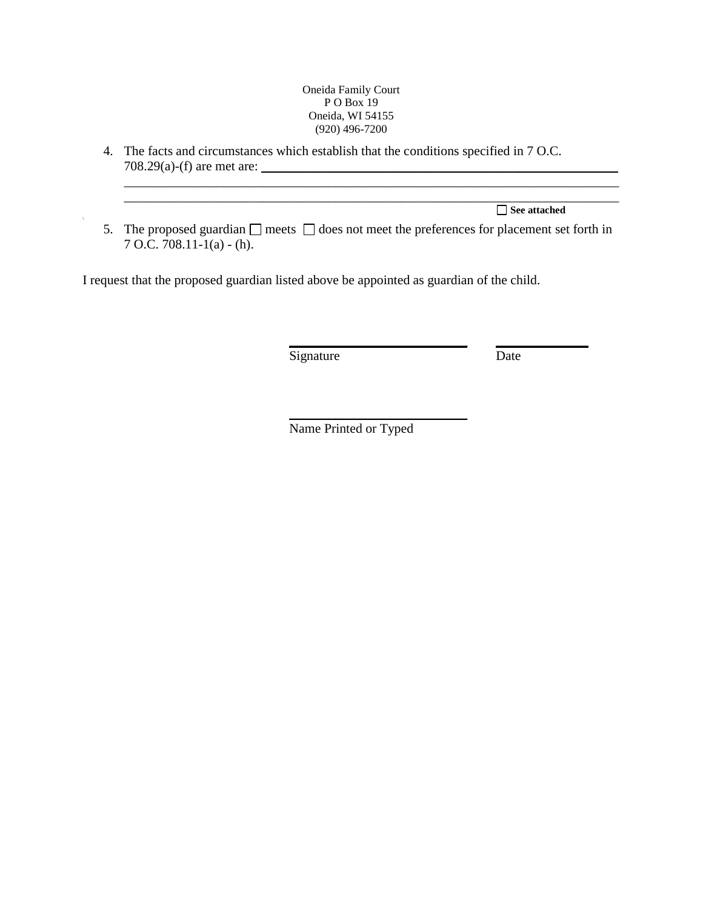4. The facts and circumstances which establish that the conditions specified in 7 O.C.  $708.29(a)$ -(f) are met are:

**See attached**

5. The proposed guardian  $\Box$  meets  $\Box$  does not meet the preferences for placement set forth in 7 O.C. 708.11-1(a) - (h).

\_\_\_\_\_\_\_\_\_\_\_\_\_\_\_\_\_\_\_\_\_\_\_\_\_\_\_\_\_\_\_\_\_\_\_\_\_\_\_\_\_\_\_\_\_\_\_\_\_\_\_\_\_\_\_\_\_\_\_\_\_\_\_\_\_\_\_\_\_\_\_\_\_\_\_

I request that the proposed guardian listed above be appointed as guardian of the child.

Signature Date

**\_\_\_\_\_\_\_\_\_\_\_\_\_\_\_\_\_\_\_\_\_\_\_\_\_\_\_ \_\_\_\_\_\_\_\_\_\_\_\_\_\_**

Name Printed or Typed

\_\_\_\_\_\_\_\_\_\_\_\_\_\_\_\_\_\_\_\_\_\_\_\_\_\_\_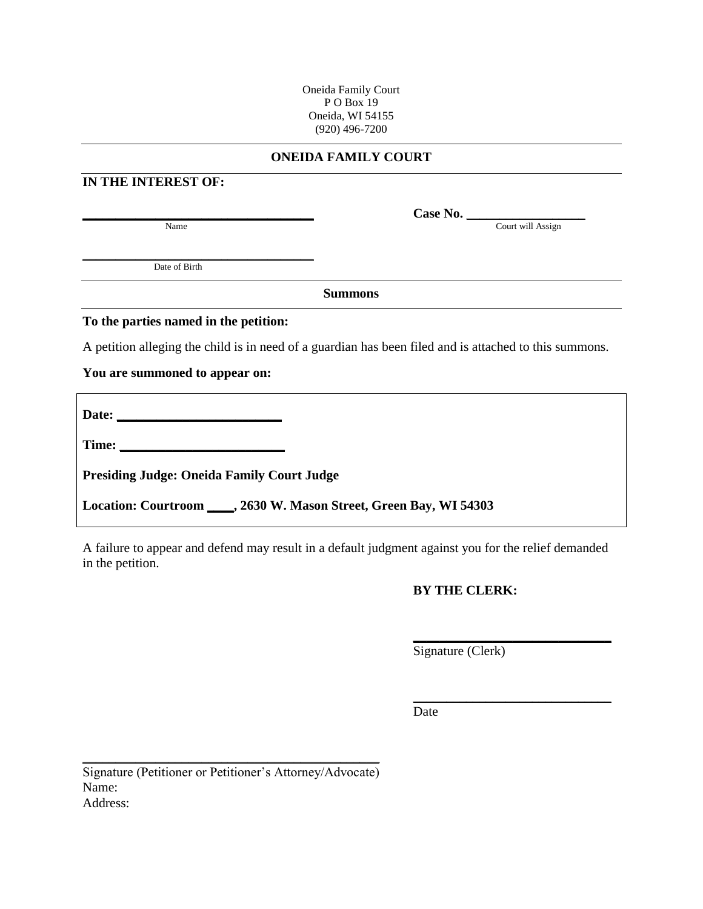## **ONEIDA FAMILY COURT**

# **IN THE INTEREST OF:**

Name Court will Assign

\_\_\_\_\_\_\_\_\_\_\_\_\_\_\_\_\_\_\_\_\_\_\_\_\_\_\_\_\_\_\_\_\_\_\_ Date of Birth

**Summons**

## **To the parties named in the petition:**

A petition alleging the child is in need of a guardian has been filed and is attached to this summons.

## **You are summoned to appear on:**

| Date:<br><u> 1980 - Johann Barbara, margaret eta idazlea (h. 1980).</u> |  |  |
|-------------------------------------------------------------------------|--|--|
|                                                                         |  |  |
| <b>Presiding Judge: Oneida Family Court Judge</b>                       |  |  |

**Location: Courtroom \_\_\_\_, 2630 W. Mason Street, Green Bay, WI 54303**

A failure to appear and defend may result in a default judgment against you for the relief demanded in the petition.

# **BY THE CLERK:**

**\_\_\_\_\_\_\_\_\_\_\_\_\_\_\_\_\_\_\_\_\_\_\_\_\_\_\_\_\_\_**

\_\_\_\_\_\_\_\_\_\_\_\_\_\_\_\_\_\_\_\_\_\_\_\_\_\_\_\_\_\_

Signature (Clerk)

Date

Signature (Petitioner or Petitioner's Attorney/Advocate) Name: Address:

\_\_\_\_\_\_\_\_\_\_\_\_\_\_\_\_\_\_\_\_\_\_\_\_\_\_\_\_\_\_\_\_\_\_\_\_\_\_\_\_\_\_\_\_\_